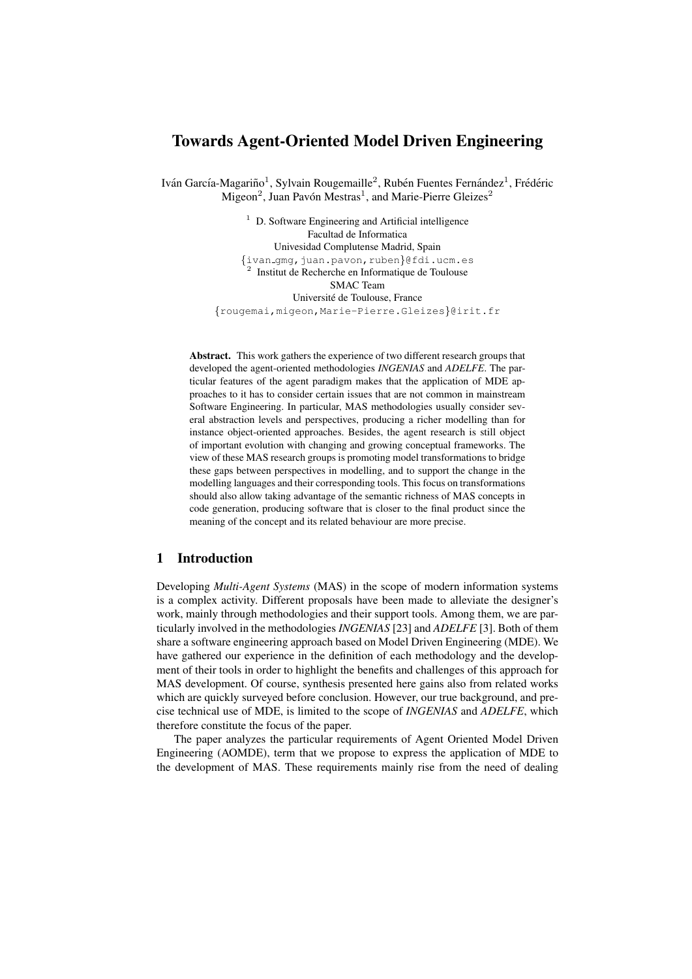# Towards Agent-Oriented Model Driven Engineering

Iván García-Magariño<sup>1</sup>, Sylvain Rougemaille<sup>2</sup>, Rubén Fuentes Fernández<sup>1</sup>, Frédéric  $Migeon<sup>2</sup>$ , Juan Pavón Mestras<sup>1</sup>, and Marie-Pierre Gleizes<sup>2</sup>

> $1$  D. Software Engineering and Artificial intelligence Facultad de Informatica Univesidad Complutense Madrid, Spain  $\{\text{ivan\_gmg},\text{juan.}$  pavon, ruben $\}$ @fdi.ucm.es <sup>2</sup> Institut de Recherche en Informatique de Toulouse SMAC Team Universite de Toulouse, France ´ {rougemai,migeon,Marie-Pierre.Gleizes}@irit.fr

Abstract. This work gathers the experience of two different research groups that developed the agent-oriented methodologies *INGENIAS* and *ADELFE*. The particular features of the agent paradigm makes that the application of MDE approaches to it has to consider certain issues that are not common in mainstream Software Engineering. In particular, MAS methodologies usually consider several abstraction levels and perspectives, producing a richer modelling than for instance object-oriented approaches. Besides, the agent research is still object of important evolution with changing and growing conceptual frameworks. The view of these MAS research groups is promoting model transformations to bridge these gaps between perspectives in modelling, and to support the change in the modelling languages and their corresponding tools. This focus on transformations should also allow taking advantage of the semantic richness of MAS concepts in code generation, producing software that is closer to the final product since the meaning of the concept and its related behaviour are more precise.

# 1 Introduction

Developing *Multi-Agent Systems* (MAS) in the scope of modern information systems is a complex activity. Different proposals have been made to alleviate the designer's work, mainly through methodologies and their support tools. Among them, we are particularly involved in the methodologies *INGENIAS* [23] and *ADELFE* [3]. Both of them share a software engineering approach based on Model Driven Engineering (MDE). We have gathered our experience in the definition of each methodology and the development of their tools in order to highlight the benefits and challenges of this approach for MAS development. Of course, synthesis presented here gains also from related works which are quickly surveyed before conclusion. However, our true background, and precise technical use of MDE, is limited to the scope of *INGENIAS* and *ADELFE*, which therefore constitute the focus of the paper.

The paper analyzes the particular requirements of Agent Oriented Model Driven Engineering (AOMDE), term that we propose to express the application of MDE to the development of MAS. These requirements mainly rise from the need of dealing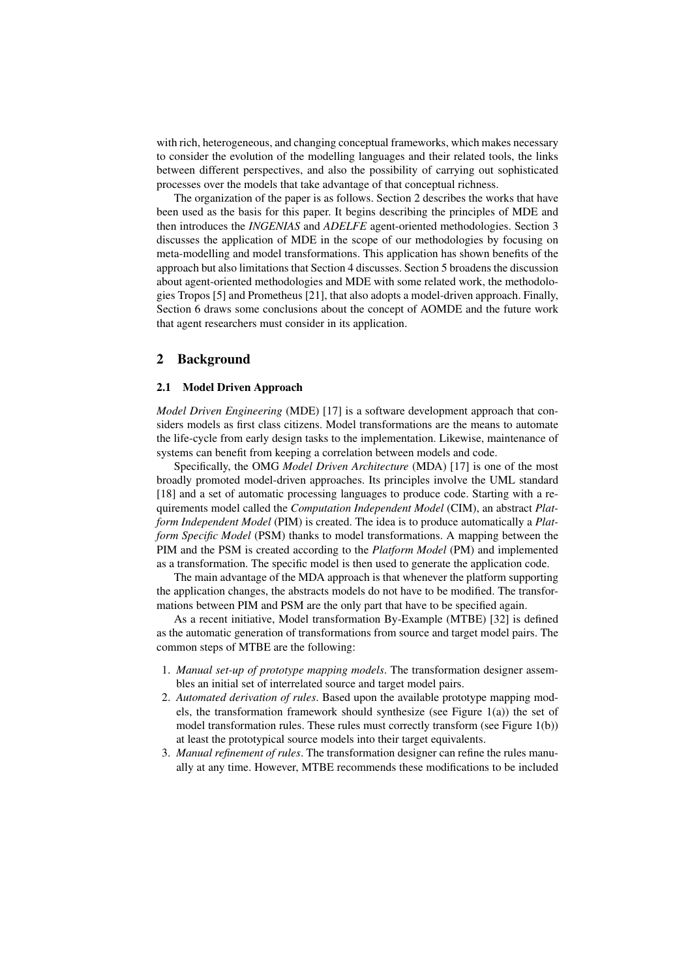with rich, heterogeneous, and changing conceptual frameworks, which makes necessary to consider the evolution of the modelling languages and their related tools, the links between different perspectives, and also the possibility of carrying out sophisticated processes over the models that take advantage of that conceptual richness.

The organization of the paper is as follows. Section 2 describes the works that have been used as the basis for this paper. It begins describing the principles of MDE and then introduces the *INGENIAS* and *ADELFE* agent-oriented methodologies. Section 3 discusses the application of MDE in the scope of our methodologies by focusing on meta-modelling and model transformations. This application has shown benefits of the approach but also limitations that Section 4 discusses. Section 5 broadens the discussion about agent-oriented methodologies and MDE with some related work, the methodologies Tropos [5] and Prometheus [21], that also adopts a model-driven approach. Finally, Section 6 draws some conclusions about the concept of AOMDE and the future work that agent researchers must consider in its application.

### 2 Background

#### 2.1 Model Driven Approach

*Model Driven Engineering* (MDE) [17] is a software development approach that considers models as first class citizens. Model transformations are the means to automate the life-cycle from early design tasks to the implementation. Likewise, maintenance of systems can benefit from keeping a correlation between models and code.

Specifically, the OMG *Model Driven Architecture* (MDA) [17] is one of the most broadly promoted model-driven approaches. Its principles involve the UML standard [18] and a set of automatic processing languages to produce code. Starting with a requirements model called the *Computation Independent Model* (CIM), an abstract *Platform Independent Model* (PIM) is created. The idea is to produce automatically a *Platform Specific Model* (PSM) thanks to model transformations. A mapping between the PIM and the PSM is created according to the *Platform Model* (PM) and implemented as a transformation. The specific model is then used to generate the application code.

The main advantage of the MDA approach is that whenever the platform supporting the application changes, the abstracts models do not have to be modified. The transformations between PIM and PSM are the only part that have to be specified again.

As a recent initiative, Model transformation By-Example (MTBE) [32] is defined as the automatic generation of transformations from source and target model pairs. The common steps of MTBE are the following:

- 1. *Manual set-up of prototype mapping models*. The transformation designer assembles an initial set of interrelated source and target model pairs.
- 2. *Automated derivation of rules*. Based upon the available prototype mapping models, the transformation framework should synthesize (see Figure 1(a)) the set of model transformation rules. These rules must correctly transform (see Figure 1(b)) at least the prototypical source models into their target equivalents.
- 3. *Manual refinement of rules*. The transformation designer can refine the rules manually at any time. However, MTBE recommends these modifications to be included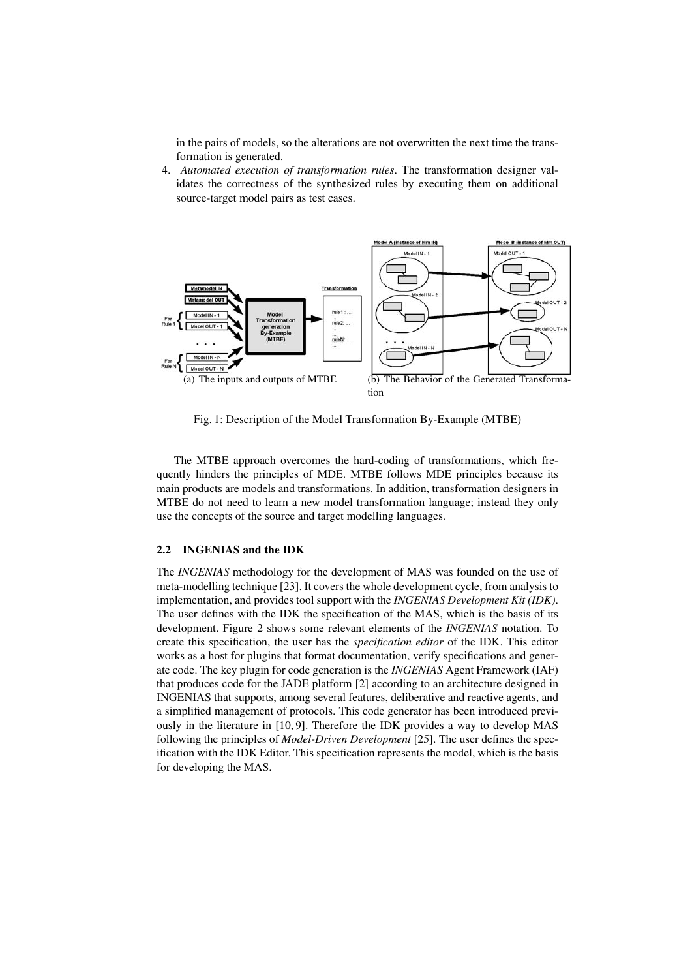in the pairs of models, so the alterations are not overwritten the next time the transformation is generated.

4. *Automated execution of transformation rules*. The transformation designer validates the correctness of the synthesized rules by executing them on additional source-target model pairs as test cases.



Fig. 1: Description of the Model Transformation By-Example (MTBE)

The MTBE approach overcomes the hard-coding of transformations, which frequently hinders the principles of MDE. MTBE follows MDE principles because its main products are models and transformations. In addition, transformation designers in MTBE do not need to learn a new model transformation language; instead they only use the concepts of the source and target modelling languages.

#### 2.2 INGENIAS and the IDK

The *INGENIAS* methodology for the development of MAS was founded on the use of meta-modelling technique [23]. It covers the whole development cycle, from analysis to implementation, and provides tool support with the *INGENIAS Development Kit (IDK)*. The user defines with the IDK the specification of the MAS, which is the basis of its development. Figure 2 shows some relevant elements of the *INGENIAS* notation. To create this specification, the user has the *specification editor* of the IDK. This editor works as a host for plugins that format documentation, verify specifications and generate code. The key plugin for code generation is the *INGENIAS* Agent Framework (IAF) that produces code for the JADE platform [2] according to an architecture designed in INGENIAS that supports, among several features, deliberative and reactive agents, and a simplified management of protocols. This code generator has been introduced previously in the literature in [10, 9]. Therefore the IDK provides a way to develop MAS following the principles of *Model-Driven Development* [25]. The user defines the specification with the IDK Editor. This specification represents the model, which is the basis for developing the MAS.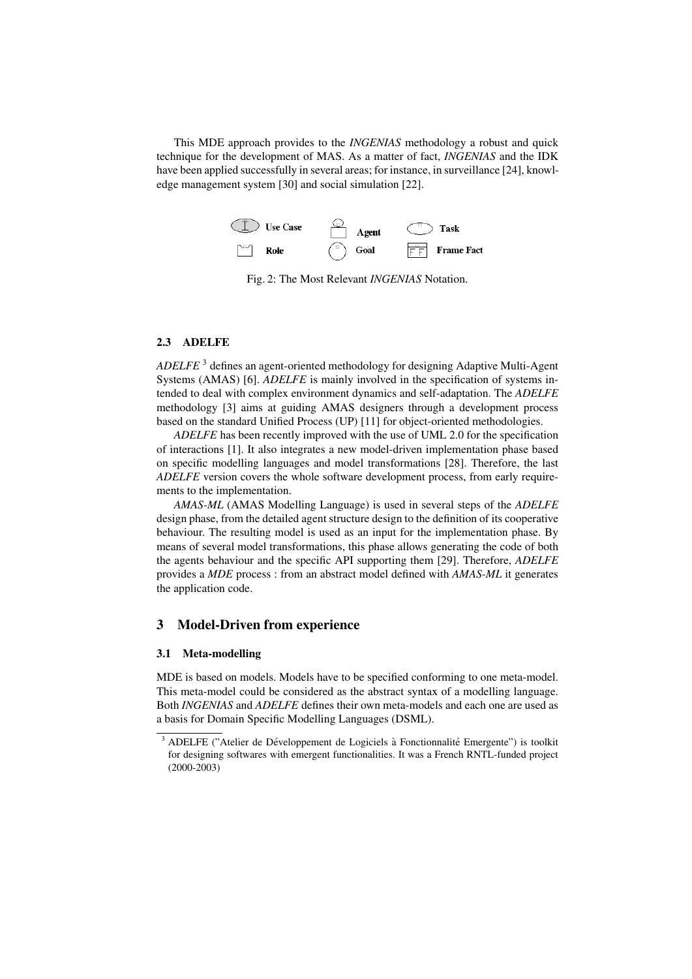This MDE approach provides to the *INGENIAS* methodology a robust and quick technique for the development of MAS. As a matter of fact, *INGENIAS* and the IDK have been applied successfully in several areas; for instance, in surveillance [24], knowledge management system [30] and social simulation [22].



Fig. 2: The Most Relevant *INGENIAS* Notation.

#### 2.3 ADELFE

*ADELFE* <sup>3</sup> defines an agent-oriented methodology for designing Adaptive Multi-Agent Systems (AMAS) [6]. *ADELFE* is mainly involved in the specification of systems intended to deal with complex environment dynamics and self-adaptation. The *ADELFE* methodology [3] aims at guiding AMAS designers through a development process based on the standard Unified Process (UP) [11] for object-oriented methodologies.

*ADELFE* has been recently improved with the use of UML 2.0 for the specification of interactions [1]. It also integrates a new model-driven implementation phase based on specific modelling languages and model transformations [28]. Therefore, the last *ADELFE* version covers the whole software development process, from early requirements to the implementation.

*AMAS-ML* (AMAS Modelling Language) is used in several steps of the *ADELFE* design phase, from the detailed agent structure design to the definition of its cooperative behaviour. The resulting model is used as an input for the implementation phase. By means of several model transformations, this phase allows generating the code of both the agents behaviour and the specific API supporting them [29]. Therefore, *ADELFE* provides a *MDE* process : from an abstract model defined with *AMAS-ML* it generates the application code.

### 3 Model-Driven from experience

# 3.1 Meta-modelling

MDE is based on models. Models have to be specified conforming to one meta-model. This meta-model could be considered as the abstract syntax of a modelling language. Both *INGENIAS* and *ADELFE* defines their own meta-models and each one are used as a basis for Domain Specific Modelling Languages (DSML).

 $\overline{3}$  ADELFE ("Atelier de Développement de Logiciels à Fonctionnalité Emergente") is toolkit for designing softwares with emergent functionalities. It was a French RNTL-funded project (2000-2003)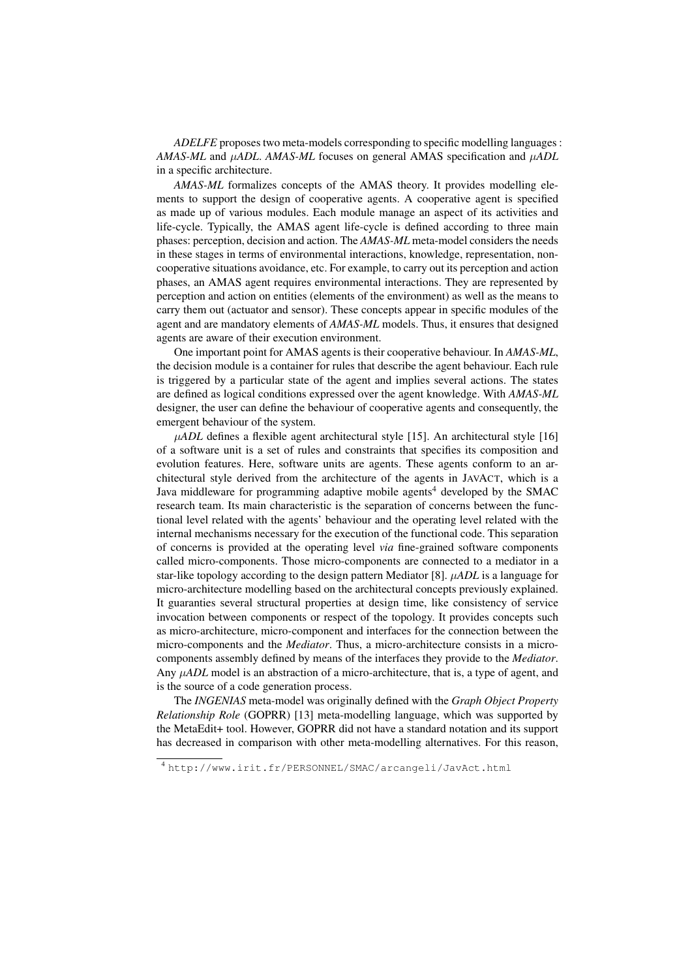*ADELFE* proposes two meta-models corresponding to specific modelling languages : *AMAS-ML* and μ*ADL*. *AMAS-ML* focuses on general AMAS specification and μ*ADL* in a specific architecture.

*AMAS-ML* formalizes concepts of the AMAS theory. It provides modelling elements to support the design of cooperative agents. A cooperative agent is specified as made up of various modules. Each module manage an aspect of its activities and life-cycle. Typically, the AMAS agent life-cycle is defined according to three main phases: perception, decision and action. The *AMAS-ML* meta-model considers the needs in these stages in terms of environmental interactions, knowledge, representation, noncooperative situations avoidance, etc. For example, to carry out its perception and action phases, an AMAS agent requires environmental interactions. They are represented by perception and action on entities (elements of the environment) as well as the means to carry them out (actuator and sensor). These concepts appear in specific modules of the agent and are mandatory elements of *AMAS-ML* models. Thus, it ensures that designed agents are aware of their execution environment.

One important point for AMAS agents is their cooperative behaviour. In *AMAS-ML*, the decision module is a container for rules that describe the agent behaviour. Each rule is triggered by a particular state of the agent and implies several actions. The states are defined as logical conditions expressed over the agent knowledge. With *AMAS-ML* designer, the user can define the behaviour of cooperative agents and consequently, the emergent behaviour of the system.

 $\mu ADL$  defines a flexible agent architectural style [15]. An architectural style [16] of a software unit is a set of rules and constraints that specifies its composition and evolution features. Here, software units are agents. These agents conform to an architectural style derived from the architecture of the agents in JAVACT, which is a Java middleware for programming adaptive mobile agents<sup>4</sup> developed by the SMAC research team. Its main characteristic is the separation of concerns between the functional level related with the agents' behaviour and the operating level related with the internal mechanisms necessary for the execution of the functional code. This separation of concerns is provided at the operating level *via* fine-grained software components called micro-components. Those micro-components are connected to a mediator in a star-like topology according to the design pattern Mediator [8]. μ*ADL* is a language for micro-architecture modelling based on the architectural concepts previously explained. It guaranties several structural properties at design time, like consistency of service invocation between components or respect of the topology. It provides concepts such as micro-architecture, micro-component and interfaces for the connection between the micro-components and the *Mediator*. Thus, a micro-architecture consists in a microcomponents assembly defined by means of the interfaces they provide to the *Mediator*. Any μ*ADL* model is an abstraction of a micro-architecture, that is, a type of agent, and is the source of a code generation process.

The *INGENIAS* meta-model was originally defined with the *Graph Object Property Relationship Role* (GOPRR) [13] meta-modelling language, which was supported by the MetaEdit+ tool. However, GOPRR did not have a standard notation and its support has decreased in comparison with other meta-modelling alternatives. For this reason,

<sup>4</sup> http://www.irit.fr/PERSONNEL/SMAC/arcangeli/JavAct.html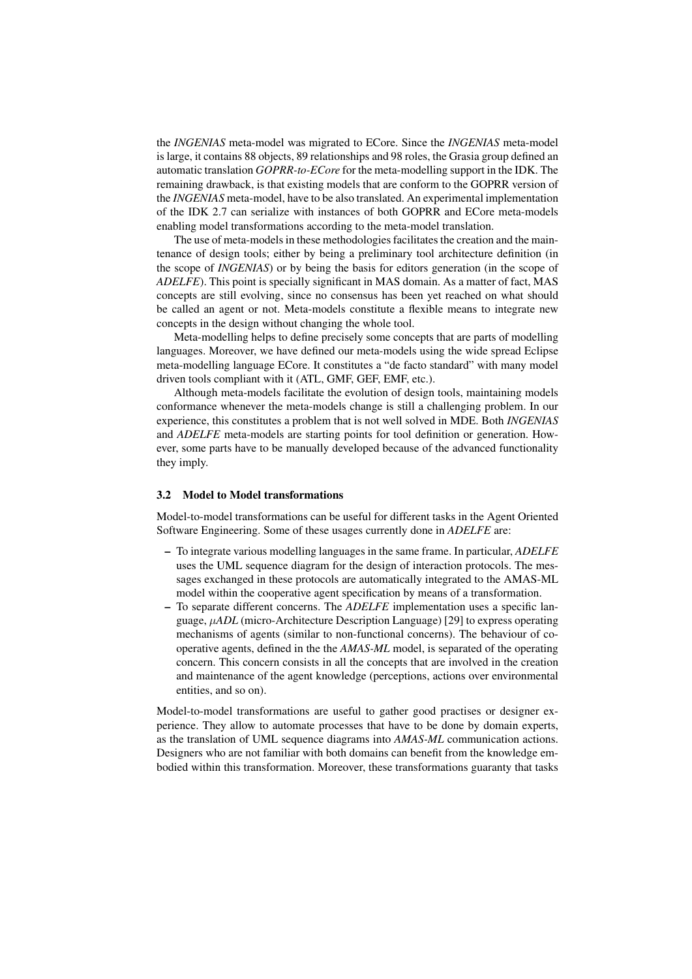the *INGENIAS* meta-model was migrated to ECore. Since the *INGENIAS* meta-model is large, it contains 88 objects, 89 relationships and 98 roles, the Grasia group defined an automatic translation *GOPRR-to-ECore* for the meta-modelling support in the IDK. The remaining drawback, is that existing models that are conform to the GOPRR version of the *INGENIAS* meta-model, have to be also translated. An experimental implementation of the IDK 2.7 can serialize with instances of both GOPRR and ECore meta-models enabling model transformations according to the meta-model translation.

The use of meta-models in these methodologies facilitates the creation and the maintenance of design tools; either by being a preliminary tool architecture definition (in the scope of *INGENIAS*) or by being the basis for editors generation (in the scope of *ADELFE*). This point is specially significant in MAS domain. As a matter of fact, MAS concepts are still evolving, since no consensus has been yet reached on what should be called an agent or not. Meta-models constitute a flexible means to integrate new concepts in the design without changing the whole tool.

Meta-modelling helps to define precisely some concepts that are parts of modelling languages. Moreover, we have defined our meta-models using the wide spread Eclipse meta-modelling language ECore. It constitutes a "de facto standard" with many model driven tools compliant with it (ATL, GMF, GEF, EMF, etc.).

Although meta-models facilitate the evolution of design tools, maintaining models conformance whenever the meta-models change is still a challenging problem. In our experience, this constitutes a problem that is not well solved in MDE. Both *INGENIAS* and *ADELFE* meta-models are starting points for tool definition or generation. However, some parts have to be manually developed because of the advanced functionality they imply.

#### 3.2 Model to Model transformations

Model-to-model transformations can be useful for different tasks in the Agent Oriented Software Engineering. Some of these usages currently done in *ADELFE* are:

- To integrate various modelling languages in the same frame. In particular, *ADELFE* uses the UML sequence diagram for the design of interaction protocols. The messages exchanged in these protocols are automatically integrated to the AMAS-ML model within the cooperative agent specification by means of a transformation.
- To separate different concerns. The *ADELFE* implementation uses a specific language, μ*ADL* (micro-Architecture Description Language) [29] to express operating mechanisms of agents (similar to non-functional concerns). The behaviour of cooperative agents, defined in the the *AMAS-ML* model, is separated of the operating concern. This concern consists in all the concepts that are involved in the creation and maintenance of the agent knowledge (perceptions, actions over environmental entities, and so on).

Model-to-model transformations are useful to gather good practises or designer experience. They allow to automate processes that have to be done by domain experts, as the translation of UML sequence diagrams into *AMAS-ML* communication actions. Designers who are not familiar with both domains can benefit from the knowledge embodied within this transformation. Moreover, these transformations guaranty that tasks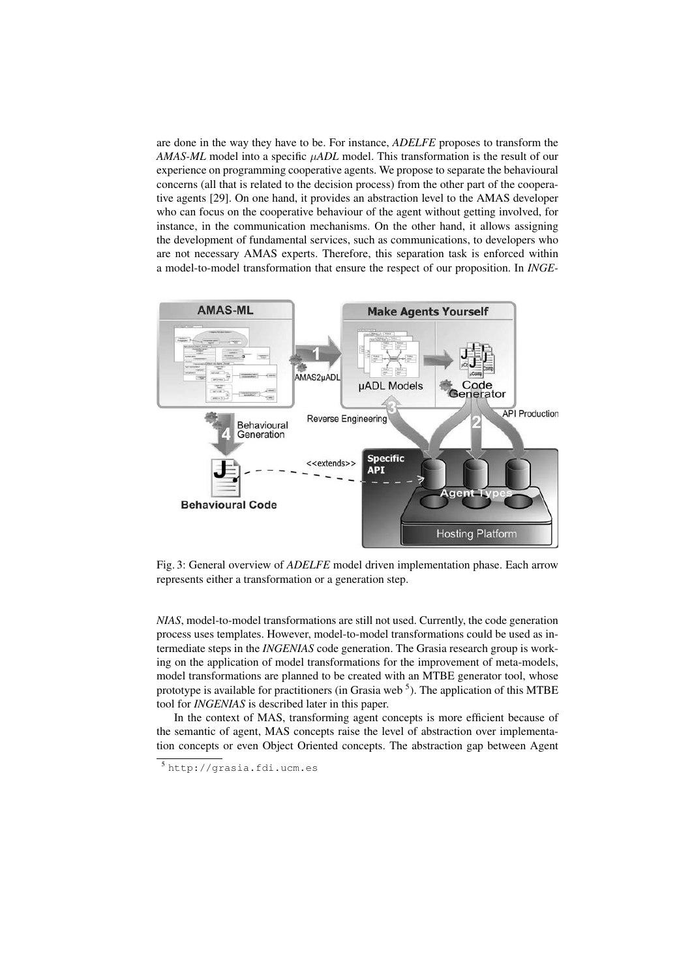are done in the way they have to be. For instance, *ADELFE* proposes to transform the *AMAS-ML* model into a specific μ*ADL* model. This transformation is the result of our experience on programming cooperative agents. We propose to separate the behavioural concerns (all that is related to the decision process) from the other part of the cooperative agents [29]. On one hand, it provides an abstraction level to the AMAS developer who can focus on the cooperative behaviour of the agent without getting involved, for instance, in the communication mechanisms. On the other hand, it allows assigning the development of fundamental services, such as communications, to developers who are not necessary AMAS experts. Therefore, this separation task is enforced within a model-to-model transformation that ensure the respect of our proposition. In *INGE-*



Fig. 3: General overview of *ADELFE* model driven implementation phase. Each arrow represents either a transformation or a generation step.

*NIAS*, model-to-model transformations are still not used. Currently, the code generation process uses templates. However, model-to-model transformations could be used as intermediate steps in the *INGENIAS* code generation. The Grasia research group is working on the application of model transformations for the improvement of meta-models, model transformations are planned to be created with an MTBE generator tool, whose prototype is available for practitioners (in Grasia web<sup>5</sup>). The application of this MTBE tool for *INGENIAS* is described later in this paper.

In the context of MAS, transforming agent concepts is more efficient because of the semantic of agent, MAS concepts raise the level of abstraction over implementation concepts or even Object Oriented concepts. The abstraction gap between Agent

<sup>5</sup> http://grasia.fdi.ucm.es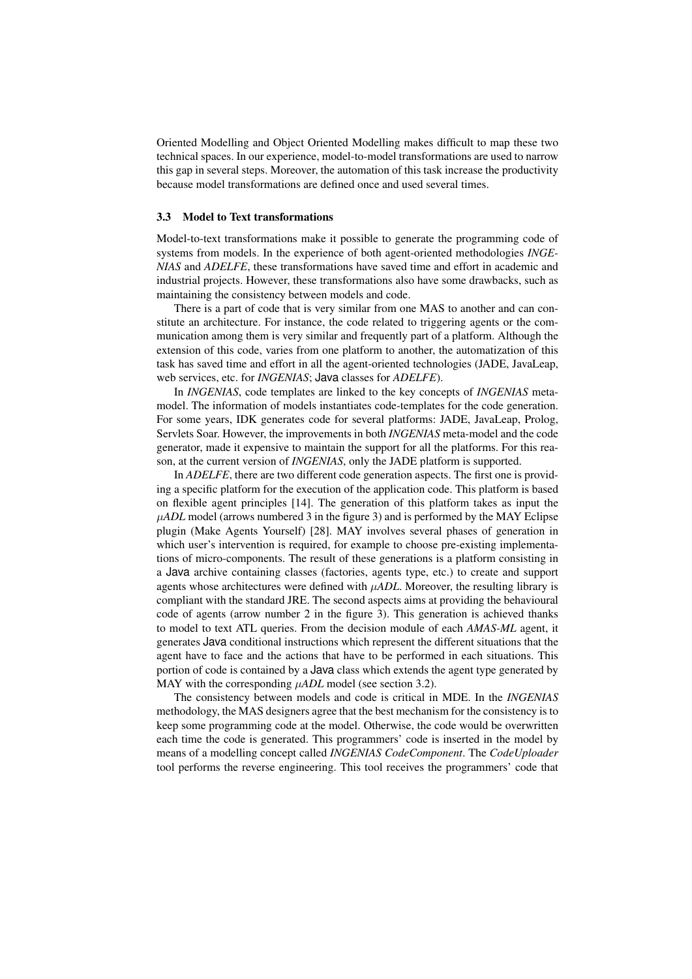Oriented Modelling and Object Oriented Modelling makes difficult to map these two technical spaces. In our experience, model-to-model transformations are used to narrow this gap in several steps. Moreover, the automation of this task increase the productivity because model transformations are defined once and used several times.

#### 3.3 Model to Text transformations

Model-to-text transformations make it possible to generate the programming code of systems from models. In the experience of both agent-oriented methodologies *INGE-NIAS* and *ADELFE*, these transformations have saved time and effort in academic and industrial projects. However, these transformations also have some drawbacks, such as maintaining the consistency between models and code.

There is a part of code that is very similar from one MAS to another and can constitute an architecture. For instance, the code related to triggering agents or the communication among them is very similar and frequently part of a platform. Although the extension of this code, varies from one platform to another, the automatization of this task has saved time and effort in all the agent-oriented technologies (JADE, JavaLeap, web services, etc. for *INGENIAS*; Java classes for *ADELFE*).

In *INGENIAS*, code templates are linked to the key concepts of *INGENIAS* metamodel. The information of models instantiates code-templates for the code generation. For some years, IDK generates code for several platforms: JADE, JavaLeap, Prolog, Servlets Soar. However, the improvements in both *INGENIAS* meta-model and the code generator, made it expensive to maintain the support for all the platforms. For this reason, at the current version of *INGENIAS*, only the JADE platform is supported.

In *ADELFE*, there are two different code generation aspects. The first one is providing a specific platform for the execution of the application code. This platform is based on flexible agent principles [14]. The generation of this platform takes as input the μ*ADL* model (arrows numbered 3 in the figure 3) and is performed by the MAY Eclipse plugin (Make Agents Yourself) [28]. MAY involves several phases of generation in which user's intervention is required, for example to choose pre-existing implementations of micro-components. The result of these generations is a platform consisting in a Java archive containing classes (factories, agents type, etc.) to create and support agents whose architectures were defined with μ*ADL*. Moreover, the resulting library is compliant with the standard JRE. The second aspects aims at providing the behavioural code of agents (arrow number 2 in the figure 3). This generation is achieved thanks to model to text ATL queries. From the decision module of each *AMAS-ML* agent, it generates Java conditional instructions which represent the different situations that the agent have to face and the actions that have to be performed in each situations. This portion of code is contained by a Java class which extends the agent type generated by MAY with the corresponding μ*ADL* model (see section 3.2).

The consistency between models and code is critical in MDE. In the *INGENIAS* methodology, the MAS designers agree that the best mechanism for the consistency is to keep some programming code at the model. Otherwise, the code would be overwritten each time the code is generated. This programmers' code is inserted in the model by means of a modelling concept called *INGENIAS CodeComponent*. The *CodeUploader* tool performs the reverse engineering. This tool receives the programmers' code that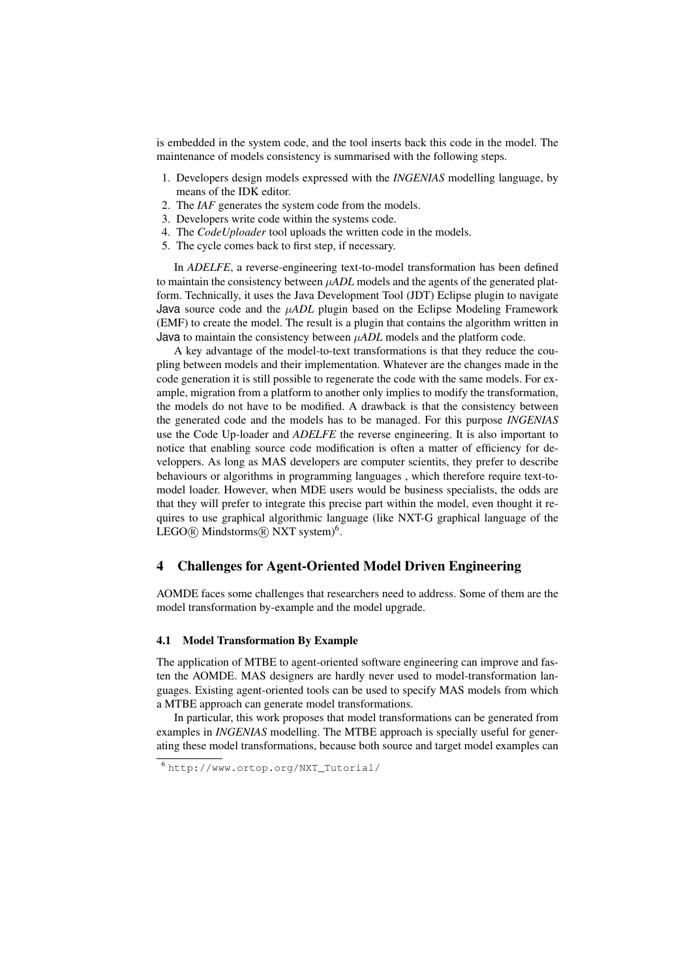is embedded in the system code, and the tool inserts back this code in the model. The maintenance of models consistency is summarised with the following steps.

- 1. Developers design models expressed with the *INGENIAS* modelling language, by means of the IDK editor.
- 2. The *IAF* generates the system code from the models.
- 3. Developers write code within the systems code.
- 4. The *CodeUploader* tool uploads the written code in the models.
- 5. The cycle comes back to first step, if necessary.

In *ADELFE*, a reverse-engineering text-to-model transformation has been defined to maintain the consistency between μ*ADL* models and the agents of the generated platform. Technically, it uses the Java Development Tool (JDT) Eclipse plugin to navigate Java source code and the μ*ADL* plugin based on the Eclipse Modeling Framework (EMF) to create the model. The result is a plugin that contains the algorithm written in Java to maintain the consistency between μ*ADL* models and the platform code.

A key advantage of the model-to-text transformations is that they reduce the coupling between models and their implementation. Whatever are the changes made in the code generation it is still possible to regenerate the code with the same models. For example, migration from a platform to another only implies to modify the transformation, the models do not have to be modified. A drawback is that the consistency between the generated code and the models has to be managed. For this purpose *INGENIAS* use the Code Up-loader and *ADELFE* the reverse engineering. It is also important to notice that enabling source code modification is often a matter of efficiency for developpers. As long as MAS developers are computer scientits, they prefer to describe behaviours or algorithms in programming languages , which therefore require text-tomodel loader. However, when MDE users would be business specialists, the odds are that they will prefer to integrate this precise part within the model, even thought it requires to use graphical algorithmic language (like NXT-G graphical language of the  $LEGO$ @ Mindstorms@ NXT system)<sup>6</sup>.

### 4 Challenges for Agent-Oriented Model Driven Engineering

AOMDE faces some challenges that researchers need to address. Some of them are the model transformation by-example and the model upgrade.

#### 4.1 Model Transformation By Example

The application of MTBE to agent-oriented software engineering can improve and fasten the AOMDE. MAS designers are hardly never used to model-transformation languages. Existing agent-oriented tools can be used to specify MAS models from which a MTBE approach can generate model transformations.

In particular, this work proposes that model transformations can be generated from examples in *INGENIAS* modelling. The MTBE approach is specially useful for generating these model transformations, because both source and target model examples can

<sup>6</sup> http://www.ortop.org/NXT\_Tutorial/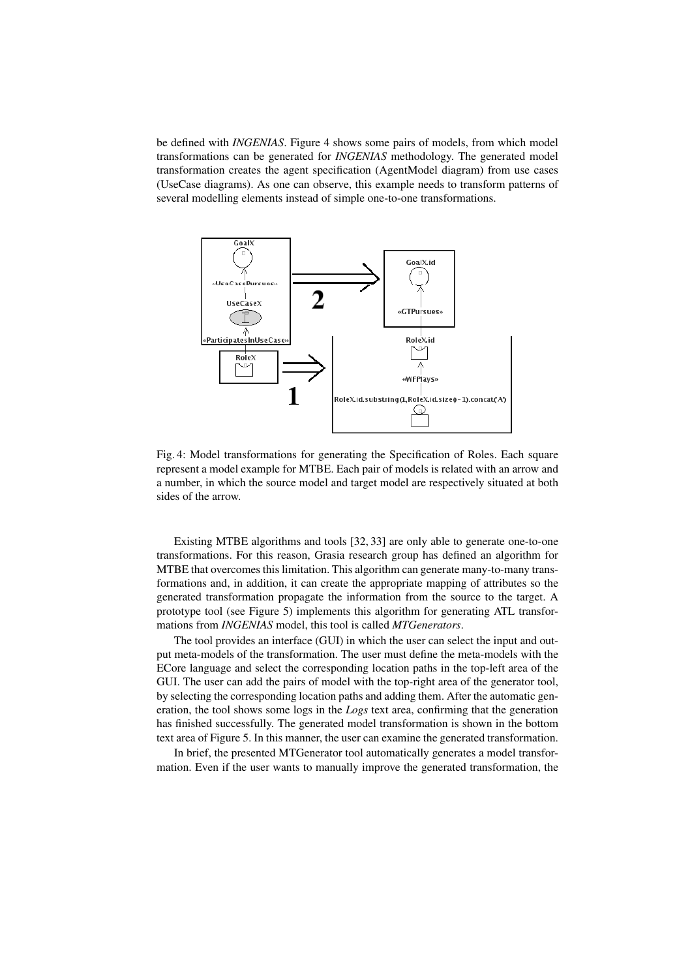be defined with *INGENIAS*. Figure 4 shows some pairs of models, from which model transformations can be generated for *INGENIAS* methodology. The generated model transformation creates the agent specification (AgentModel diagram) from use cases (UseCase diagrams). As one can observe, this example needs to transform patterns of several modelling elements instead of simple one-to-one transformations.



Fig. 4: Model transformations for generating the Specification of Roles. Each square represent a model example for MTBE. Each pair of models is related with an arrow and a number, in which the source model and target model are respectively situated at both sides of the arrow.

Existing MTBE algorithms and tools [32, 33] are only able to generate one-to-one transformations. For this reason, Grasia research group has defined an algorithm for MTBE that overcomes this limitation. This algorithm can generate many-to-many transformations and, in addition, it can create the appropriate mapping of attributes so the generated transformation propagate the information from the source to the target. A prototype tool (see Figure 5) implements this algorithm for generating ATL transformations from *INGENIAS* model, this tool is called *MTGenerators*.

The tool provides an interface (GUI) in which the user can select the input and output meta-models of the transformation. The user must define the meta-models with the ECore language and select the corresponding location paths in the top-left area of the GUI. The user can add the pairs of model with the top-right area of the generator tool, by selecting the corresponding location paths and adding them. After the automatic generation, the tool shows some logs in the *Logs* text area, confirming that the generation has finished successfully. The generated model transformation is shown in the bottom text area of Figure 5. In this manner, the user can examine the generated transformation.

In brief, the presented MTGenerator tool automatically generates a model transformation. Even if the user wants to manually improve the generated transformation, the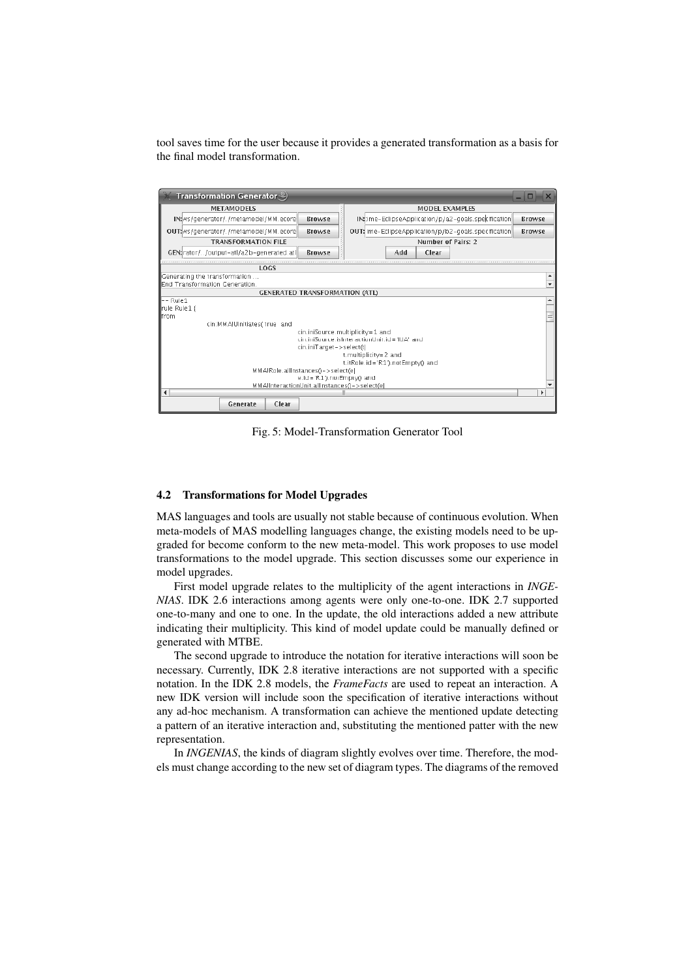tool saves time for the user because it provides a generated transformation as a basis for the final model transformation.

| Transformation Generator $\overset{\circledcirc}{\smile}$                                                         |                                                       |                                                                                                                                              |  |
|-------------------------------------------------------------------------------------------------------------------|-------------------------------------------------------|----------------------------------------------------------------------------------------------------------------------------------------------|--|
| <b>METAMODELS</b>                                                                                                 |                                                       | <b>MODEL EXAMPLES</b>                                                                                                                        |  |
| IN: ws/generator/./metamodel/MM.ecore                                                                             | Browse                                                | IN: : ime-EclipseApplication/p/a2-goals.specification<br>Browse                                                                              |  |
| OUT: ws/generator/./metamodel/MM.ecore                                                                            | Browse                                                | OUT: ime-EclipseApplication/p/b2-goals.specification<br>Browse                                                                               |  |
| <b>TRANSFORMATION FILE</b>                                                                                        |                                                       | Number of Pairs: 2                                                                                                                           |  |
| GEN: rator//output-atl/a2b-generated.atl                                                                          | <b>Browse</b>                                         | Add<br>Clear                                                                                                                                 |  |
| LOGS                                                                                                              |                                                       |                                                                                                                                              |  |
| Generating the transformation<br>End Transformation Generation.                                                   |                                                       |                                                                                                                                              |  |
| <b>GENERATED TRANSFORMATION (ATL)</b>                                                                             |                                                       |                                                                                                                                              |  |
| -- Rule1<br>  rule Rule1 {<br>llfrom                                                                              |                                                       |                                                                                                                                              |  |
| cin:MMA/UInitiates(true and<br>MMAIRole.allinstances()->select(e)<br>MMAInteractionUnit.allInstances()->select(e) | cin.iniTarget->select(t)<br>e.id='R1').notEmpty() and | cin.iniSource.multiplicity=1 and<br>cin.iniSource.isInteractionUnit.id='IUA' and<br>t.multiplicity=2 and<br>t.itRole.id='R1').notEmpty() and |  |
|                                                                                                                   |                                                       |                                                                                                                                              |  |
| Generate<br>Clear                                                                                                 |                                                       |                                                                                                                                              |  |

Fig. 5: Model-Transformation Generator Tool

#### 4.2 Transformations for Model Upgrades

MAS languages and tools are usually not stable because of continuous evolution. When meta-models of MAS modelling languages change, the existing models need to be upgraded for become conform to the new meta-model. This work proposes to use model transformations to the model upgrade. This section discusses some our experience in model upgrades.

First model upgrade relates to the multiplicity of the agent interactions in *INGE-NIAS*. IDK 2.6 interactions among agents were only one-to-one. IDK 2.7 supported one-to-many and one to one. In the update, the old interactions added a new attribute indicating their multiplicity. This kind of model update could be manually defined or generated with MTBE.

The second upgrade to introduce the notation for iterative interactions will soon be necessary. Currently, IDK 2.8 iterative interactions are not supported with a specific notation. In the IDK 2.8 models, the *FrameFacts* are used to repeat an interaction. A new IDK version will include soon the specification of iterative interactions without any ad-hoc mechanism. A transformation can achieve the mentioned update detecting a pattern of an iterative interaction and, substituting the mentioned patter with the new representation.

In *INGENIAS*, the kinds of diagram slightly evolves over time. Therefore, the models must change according to the new set of diagram types. The diagrams of the removed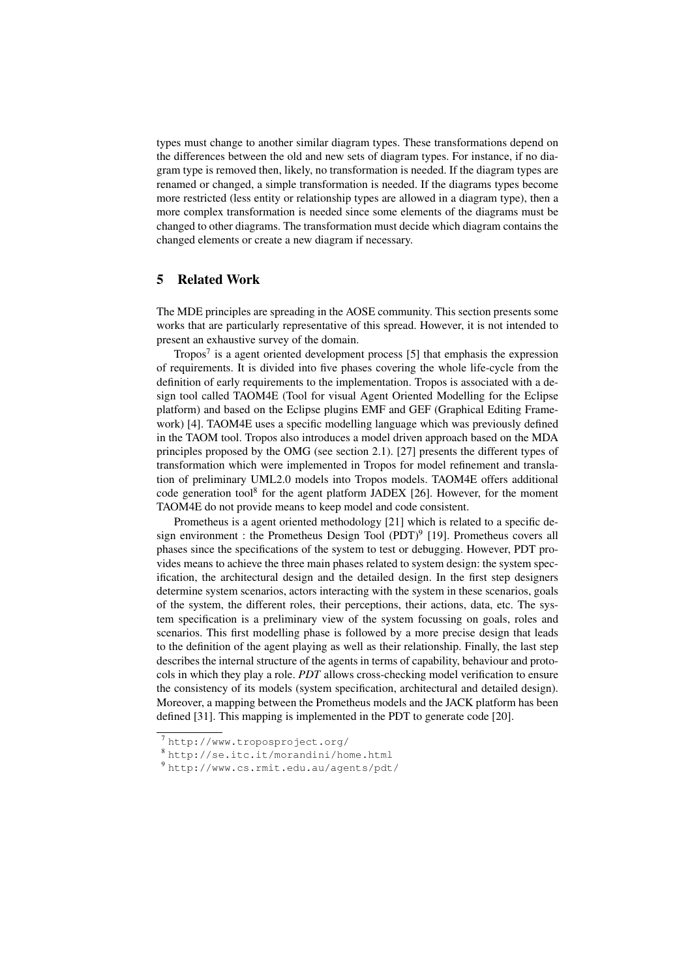types must change to another similar diagram types. These transformations depend on the differences between the old and new sets of diagram types. For instance, if no diagram type is removed then, likely, no transformation is needed. If the diagram types are renamed or changed, a simple transformation is needed. If the diagrams types become more restricted (less entity or relationship types are allowed in a diagram type), then a more complex transformation is needed since some elements of the diagrams must be changed to other diagrams. The transformation must decide which diagram contains the changed elements or create a new diagram if necessary.

# 5 Related Work

The MDE principles are spreading in the AOSE community. This section presents some works that are particularly representative of this spread. However, it is not intended to present an exhaustive survey of the domain.

Tropos7 is a agent oriented development process [5] that emphasis the expression of requirements. It is divided into five phases covering the whole life-cycle from the definition of early requirements to the implementation. Tropos is associated with a design tool called TAOM4E (Tool for visual Agent Oriented Modelling for the Eclipse platform) and based on the Eclipse plugins EMF and GEF (Graphical Editing Framework) [4]. TAOM4E uses a specific modelling language which was previously defined in the TAOM tool. Tropos also introduces a model driven approach based on the MDA principles proposed by the OMG (see section 2.1). [27] presents the different types of transformation which were implemented in Tropos for model refinement and translation of preliminary UML2.0 models into Tropos models. TAOM4E offers additional code generation tool<sup>8</sup> for the agent platform JADEX [26]. However, for the moment TAOM4E do not provide means to keep model and code consistent.

Prometheus is a agent oriented methodology [21] which is related to a specific design environment : the Prometheus Design Tool (PDT)<sup>9</sup> [19]. Prometheus covers all phases since the specifications of the system to test or debugging. However, PDT provides means to achieve the three main phases related to system design: the system specification, the architectural design and the detailed design. In the first step designers determine system scenarios, actors interacting with the system in these scenarios, goals of the system, the different roles, their perceptions, their actions, data, etc. The system specification is a preliminary view of the system focussing on goals, roles and scenarios. This first modelling phase is followed by a more precise design that leads to the definition of the agent playing as well as their relationship. Finally, the last step describes the internal structure of the agents in terms of capability, behaviour and protocols in which they play a role. *PDT* allows cross-checking model verification to ensure the consistency of its models (system specification, architectural and detailed design). Moreover, a mapping between the Prometheus models and the JACK platform has been defined [31]. This mapping is implemented in the PDT to generate code [20].

<sup>7</sup> http://www.troposproject.org/

<sup>8</sup> http://se.itc.it/morandini/home.html

<sup>9</sup> http://www.cs.rmit.edu.au/agents/pdt/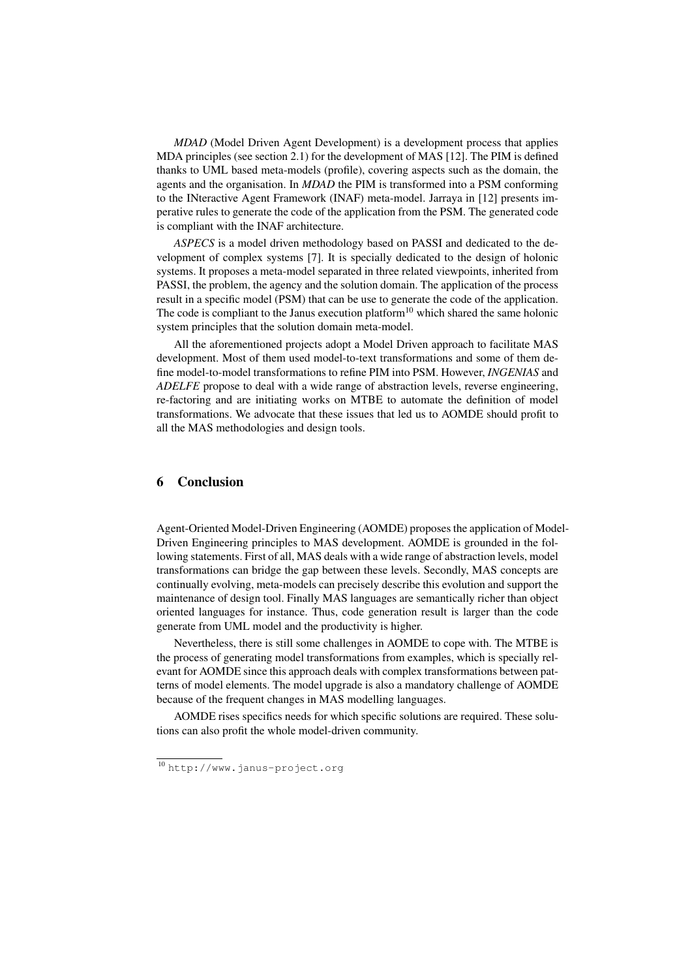*MDAD* (Model Driven Agent Development) is a development process that applies MDA principles (see section 2.1) for the development of MAS [12]. The PIM is defined thanks to UML based meta-models (profile), covering aspects such as the domain, the agents and the organisation. In *MDAD* the PIM is transformed into a PSM conforming to the INteractive Agent Framework (INAF) meta-model. Jarraya in [12] presents imperative rules to generate the code of the application from the PSM. The generated code is compliant with the INAF architecture.

*ASPECS* is a model driven methodology based on PASSI and dedicated to the development of complex systems [7]. It is specially dedicated to the design of holonic systems. It proposes a meta-model separated in three related viewpoints, inherited from PASSI, the problem, the agency and the solution domain. The application of the process result in a specific model (PSM) that can be use to generate the code of the application. The code is compliant to the Janus execution platform<sup>10</sup> which shared the same holonic system principles that the solution domain meta-model.

All the aforementioned projects adopt a Model Driven approach to facilitate MAS development. Most of them used model-to-text transformations and some of them define model-to-model transformations to refine PIM into PSM. However, *INGENIAS* and *ADELFE* propose to deal with a wide range of abstraction levels, reverse engineering, re-factoring and are initiating works on MTBE to automate the definition of model transformations. We advocate that these issues that led us to AOMDE should profit to all the MAS methodologies and design tools.

# 6 Conclusion

Agent-Oriented Model-Driven Engineering (AOMDE) proposes the application of Model-Driven Engineering principles to MAS development. AOMDE is grounded in the following statements. First of all, MAS deals with a wide range of abstraction levels, model transformations can bridge the gap between these levels. Secondly, MAS concepts are continually evolving, meta-models can precisely describe this evolution and support the maintenance of design tool. Finally MAS languages are semantically richer than object oriented languages for instance. Thus, code generation result is larger than the code generate from UML model and the productivity is higher.

Nevertheless, there is still some challenges in AOMDE to cope with. The MTBE is the process of generating model transformations from examples, which is specially relevant for AOMDE since this approach deals with complex transformations between patterns of model elements. The model upgrade is also a mandatory challenge of AOMDE because of the frequent changes in MAS modelling languages.

AOMDE rises specifics needs for which specific solutions are required. These solutions can also profit the whole model-driven community.

<sup>10</sup> http://www.janus-project.org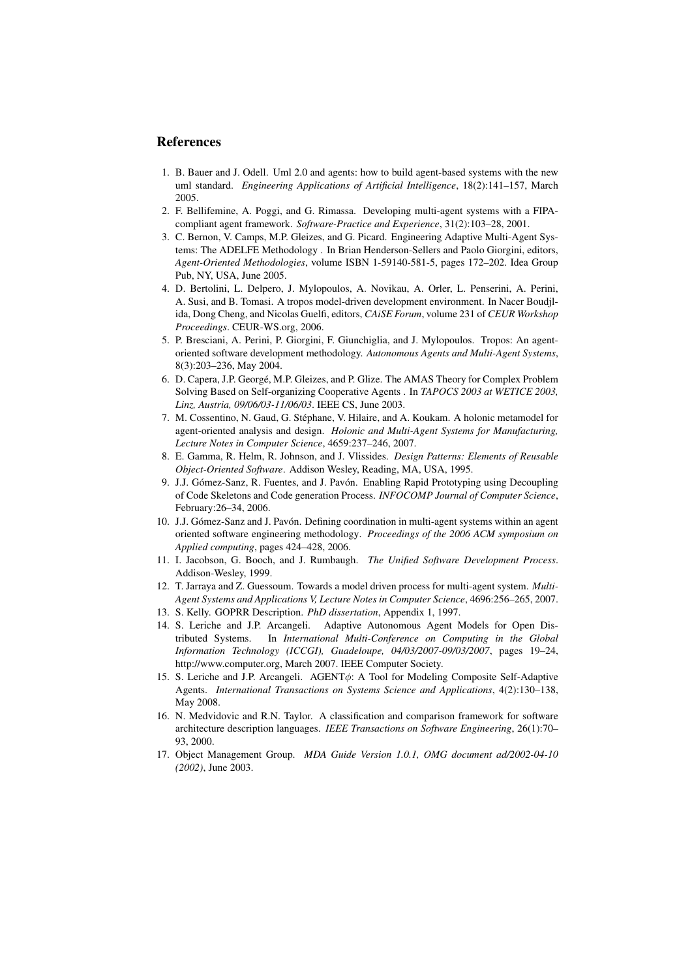# References

- 1. B. Bauer and J. Odell. Uml 2.0 and agents: how to build agent-based systems with the new uml standard. *Engineering Applications of Artificial Intelligence*, 18(2):141–157, March 2005.
- 2. F. Bellifemine, A. Poggi, and G. Rimassa. Developing multi-agent systems with a FIPAcompliant agent framework. *Software-Practice and Experience*, 31(2):103–28, 2001.
- 3. C. Bernon, V. Camps, M.P. Gleizes, and G. Picard. Engineering Adaptive Multi-Agent Systems: The ADELFE Methodology . In Brian Henderson-Sellers and Paolo Giorgini, editors, *Agent-Oriented Methodologies*, volume ISBN 1-59140-581-5, pages 172–202. Idea Group Pub, NY, USA, June 2005.
- 4. D. Bertolini, L. Delpero, J. Mylopoulos, A. Novikau, A. Orler, L. Penserini, A. Perini, A. Susi, and B. Tomasi. A tropos model-driven development environment. In Nacer Boudjlida, Dong Cheng, and Nicolas Guelfi, editors, *CAiSE Forum*, volume 231 of *CEUR Workshop Proceedings*. CEUR-WS.org, 2006.
- 5. P. Bresciani, A. Perini, P. Giorgini, F. Giunchiglia, and J. Mylopoulos. Tropos: An agentoriented software development methodology. *Autonomous Agents and Multi-Agent Systems*, 8(3):203–236, May 2004.
- 6. D. Capera, J.P. George, M.P. Gleizes, and P. Glize. The AMAS Theory for Complex Problem ´ Solving Based on Self-organizing Cooperative Agents . In *TAPOCS 2003 at WETICE 2003, Linz, Austria, 09/06/03-11/06/03*. IEEE CS, June 2003.
- 7. M. Cossentino, N. Gaud, G. Stephane, V. Hilaire, and A. Koukam. A holonic metamodel for ´ agent-oriented analysis and design. *Holonic and Multi-Agent Systems for Manufacturing, Lecture Notes in Computer Science*, 4659:237–246, 2007.
- 8. E. Gamma, R. Helm, R. Johnson, and J. Vlissides. *Design Patterns: Elements of Reusable Object-Oriented Software*. Addison Wesley, Reading, MA, USA, 1995.
- 9. J.J. Gómez-Sanz, R. Fuentes, and J. Pavón. Enabling Rapid Prototyping using Decoupling of Code Skeletons and Code generation Process. *INFOCOMP Journal of Computer Science*, February:26–34, 2006.
- 10. J.J. Gómez-Sanz and J. Pavón. Defining coordination in multi-agent systems within an agent oriented software engineering methodology. *Proceedings of the 2006 ACM symposium on Applied computing*, pages 424–428, 2006.
- 11. I. Jacobson, G. Booch, and J. Rumbaugh. *The Unified Software Development Process*. Addison-Wesley, 1999.
- 12. T. Jarraya and Z. Guessoum. Towards a model driven process for multi-agent system. *Multi-Agent Systems and Applications V, Lecture Notes in Computer Science*, 4696:256–265, 2007.
- 13. S. Kelly. GOPRR Description. *PhD dissertation*, Appendix 1, 1997.
- 14. S. Leriche and J.P. Arcangeli. Adaptive Autonomous Agent Models for Open Distributed Systems. In *International Multi-Conference on Computing in the Global Information Technology (ICCGI), Guadeloupe, 04/03/2007-09/03/2007*, pages 19–24, http://www.computer.org, March 2007. IEEE Computer Society.
- 15. S. Leriche and J.P. Arcangeli. AGENTφ: A Tool for Modeling Composite Self-Adaptive Agents. *International Transactions on Systems Science and Applications*, 4(2):130–138, May 2008.
- 16. N. Medvidovic and R.N. Taylor. A classification and comparison framework for software architecture description languages. *IEEE Transactions on Software Engineering*, 26(1):70– 93, 2000.
- 17. Object Management Group. *MDA Guide Version 1.0.1, OMG document ad/2002-04-10 (2002)*, June 2003.